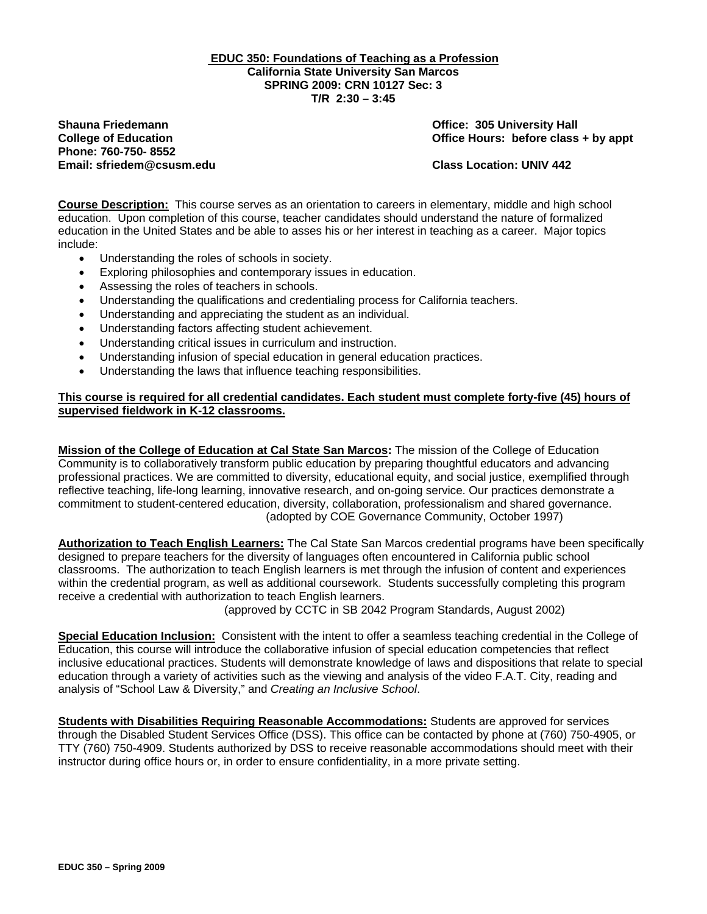**EDUC 350: Foundations of Teaching as a Profession California State University San Marcos SPRING 2009: CRN 10127 Sec: 3 T/R 2:30 – 3:45**

**Shauna Friedemann Office: 305 University Hall Phone: 760-750- 8552 Email: sfriedem@csusm.edu Class Location: UNIV 442** 

**College of Education College of Education College Act College Service Hours: before class + by appt** 

**Course Description:** This course serves as an orientation to careers in elementary, middle and high school education. Upon completion of this course, teacher candidates should understand the nature of formalized education in the United States and be able to asses his or her interest in teaching as a career. Major topics include:

- Understanding the roles of schools in society.
- Exploring philosophies and contemporary issues in education.
- Assessing the roles of teachers in schools.
- Understanding the qualifications and credentialing process for California teachers.
- Understanding and appreciating the student as an individual.
- Understanding factors affecting student achievement.
- Understanding critical issues in curriculum and instruction.
- Understanding infusion of special education in general education practices.
- Understanding the laws that influence teaching responsibilities.

## **This course is required for all credential candidates. Each student must complete forty-five (45) hours of supervised fieldwork in K-12 classrooms.**

**Mission of the College of Education at Cal State San Marcos:** The mission of the College of Education Community is to collaboratively transform public education by preparing thoughtful educators and advancing professional practices. We are committed to diversity, educational equity, and social justice, exemplified through reflective teaching, life-long learning, innovative research, and on-going service. Our practices demonstrate a commitment to student-centered education, diversity, collaboration, professionalism and shared governance. (adopted by COE Governance Community, October 1997)

**Authorization to Teach English Learners:** The Cal State San Marcos credential programs have been specifically designed to prepare teachers for the diversity of languages often encountered in California public school classrooms. The authorization to teach English learners is met through the infusion of content and experiences within the credential program, as well as additional coursework. Students successfully completing this program receive a credential with authorization to teach English learners.

(approved by CCTC in SB 2042 Program Standards, August 2002)

 **Special Education Inclusion:** Consistent with the intent to offer a seamless teaching credential in the College of Education, this course will introduce the collaborative infusion of special education competencies that reflect inclusive educational practices. Students will demonstrate knowledge of laws and dispositions that relate to special education through a variety of activities such as the viewing and analysis of the video F.A.T. City, reading and analysis of "School Law & Diversity," and *Creating an Inclusive School*.

**Students with Disabilities Requiring Reasonable Accommodations:** Students are approved for services through the Disabled Student Services Office (DSS). This office can be contacted by phone at (760) 750-4905, or TTY (760) 750-4909. Students authorized by DSS to receive reasonable accommodations should meet with their instructor during office hours or, in order to ensure confidentiality, in a more private setting.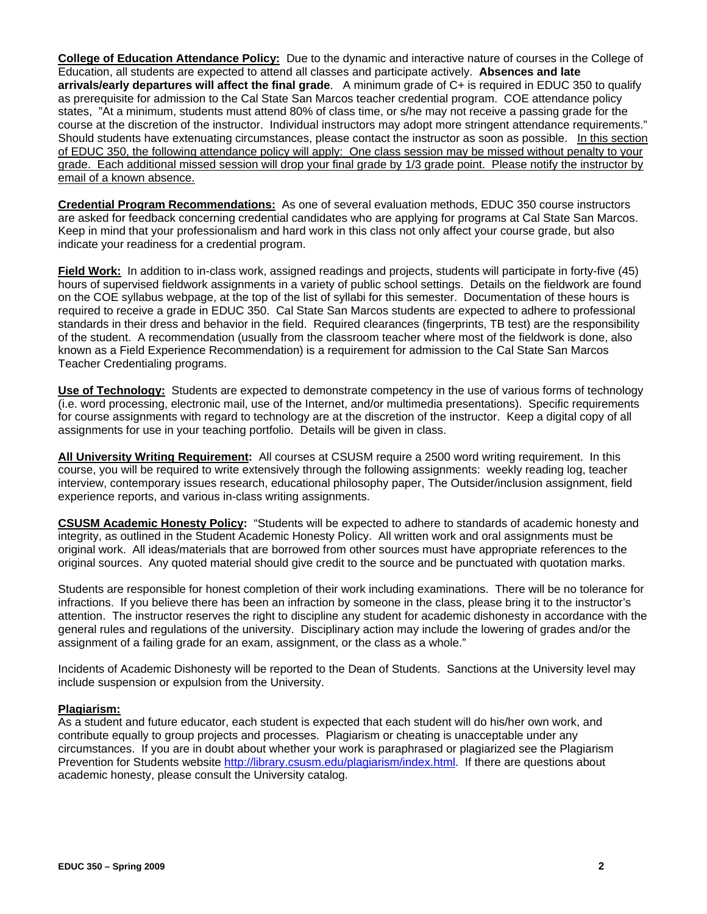**College of Education Attendance Policy:** Due to the dynamic and interactive nature of courses in the College of Education, all students are expected to attend all classes and participate actively. **Absences and late arrivals/early departures will affect the final grade**. A minimum grade of C+ is required in EDUC 350 to qualify as prerequisite for admission to the Cal State San Marcos teacher credential program. COE attendance policy states, "At a minimum, students must attend 80% of class time, or s/he may not receive a passing grade for the course at the discretion of the instructor. Individual instructors may adopt more stringent attendance requirements." Should students have extenuating circumstances, please contact the instructor as soon as possible. In this section of EDUC 350, the following attendance policy will apply: One class session may be missed without penalty to your grade. Each additional missed session will drop your final grade by 1/3 grade point. Please notify the instructor by email of a known absence.

**Credential Program Recommendations:** As one of several evaluation methods, EDUC 350 course instructors are asked for feedback concerning credential candidates who are applying for programs at Cal State San Marcos. Keep in mind that your professionalism and hard work in this class not only affect your course grade, but also indicate your readiness for a credential program.

**Field Work:** In addition to in-class work, assigned readings and projects, students will participate in forty-five (45) hours of supervised fieldwork assignments in a variety of public school settings. Details on the fieldwork are found on the COE syllabus webpage, at the top of the list of syllabi for this semester. Documentation of these hours is required to receive a grade in EDUC 350. Cal State San Marcos students are expected to adhere to professional standards in their dress and behavior in the field. Required clearances (fingerprints, TB test) are the responsibility of the student. A recommendation (usually from the classroom teacher where most of the fieldwork is done, also known as a Field Experience Recommendation) is a requirement for admission to the Cal State San Marcos Teacher Credentialing programs.

**Use of Technology:** Students are expected to demonstrate competency in the use of various forms of technology (i.e. word processing, electronic mail, use of the Internet, and/or multimedia presentations). Specific requirements for course assignments with regard to technology are at the discretion of the instructor. Keep a digital copy of all assignments for use in your teaching portfolio. Details will be given in class.

**All University Writing Requirement:** All courses at CSUSM require a 2500 word writing requirement. In this course, you will be required to write extensively through the following assignments: weekly reading log, teacher interview, contemporary issues research, educational philosophy paper, The Outsider/inclusion assignment, field experience reports, and various in-class writing assignments.

**CSUSM Academic Honesty Policy:** "Students will be expected to adhere to standards of academic honesty and integrity, as outlined in the Student Academic Honesty Policy. All written work and oral assignments must be original work. All ideas/materials that are borrowed from other sources must have appropriate references to the original sources. Any quoted material should give credit to the source and be punctuated with quotation marks.

Students are responsible for honest completion of their work including examinations. There will be no tolerance for infractions. If you believe there has been an infraction by someone in the class, please bring it to the instructor's attention. The instructor reserves the right to discipline any student for academic dishonesty in accordance with the general rules and regulations of the university. Disciplinary action may include the lowering of grades and/or the assignment of a failing grade for an exam, assignment, or the class as a whole."

Incidents of Academic Dishonesty will be reported to the Dean of Students. Sanctions at the University level may include suspension or expulsion from the University.

## **Plagiarism:**

As a student and future educator, each student is expected that each student will do his/her own work, and contribute equally to group projects and processes. Plagiarism or cheating is unacceptable under any circumstances. If you are in doubt about whether your work is paraphrased or plagiarized see the Plagiarism Prevention for Students website http://library.csusm.edu/plagiarism/index.html. If there are questions about academic honesty, please consult the University catalog.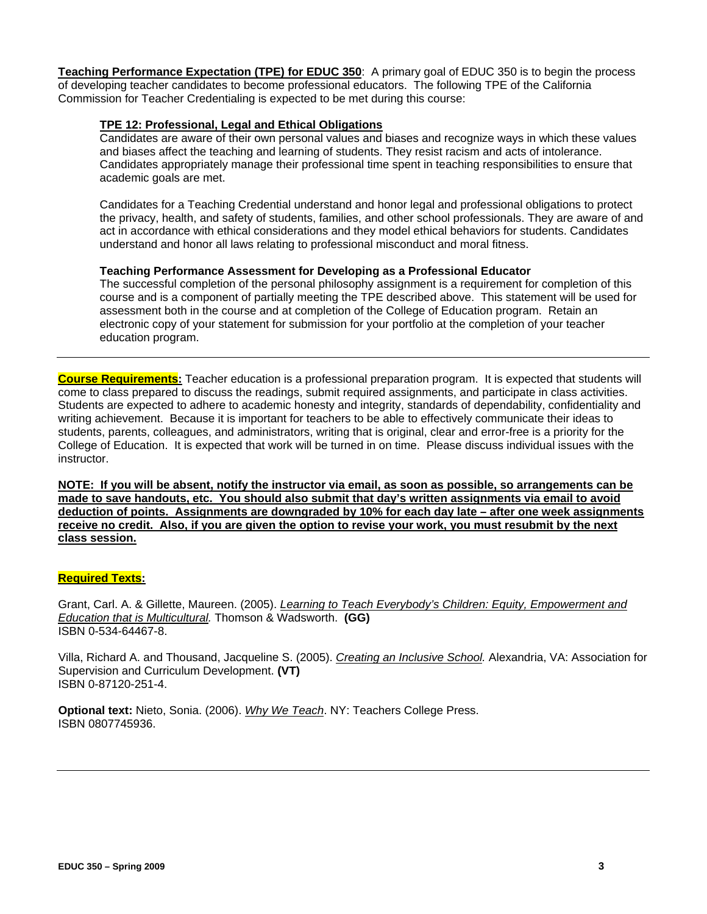**Teaching Performance Expectation (TPE) for EDUC 350**: A primary goal of EDUC 350 is to begin the process of developing teacher candidates to become professional educators. The following TPE of the California Commission for Teacher Credentialing is expected to be met during this course:

## **TPE 12: Professional, Legal and Ethical Obligations**

Candidates are aware of their own personal values and biases and recognize ways in which these values and biases affect the teaching and learning of students. They resist racism and acts of intolerance. Candidates appropriately manage their professional time spent in teaching responsibilities to ensure that academic goals are met.

Candidates for a Teaching Credential understand and honor legal and professional obligations to protect the privacy, health, and safety of students, families, and other school professionals. They are aware of and act in accordance with ethical considerations and they model ethical behaviors for students. Candidates understand and honor all laws relating to professional misconduct and moral fitness.

#### **Teaching Performance Assessment for Developing as a Professional Educator**

The successful completion of the personal philosophy assignment is a requirement for completion of this course and is a component of partially meeting the TPE described above. This statement will be used for assessment both in the course and at completion of the College of Education program. Retain an electronic copy of your statement for submission for your portfolio at the completion of your teacher education program.

 instructor. **Course Requirements:** Teacher education is a professional preparation program. It is expected that students will come to class prepared to discuss the readings, submit required assignments, and participate in class activities. Students are expected to adhere to academic honesty and integrity, standards of dependability, confidentiality and writing achievement. Because it is important for teachers to be able to effectively communicate their ideas to students, parents, colleagues, and administrators, writing that is original, clear and error-free is a priority for the College of Education. It is expected that work will be turned in on time. Please discuss individual issues with the

**NOTE: If you will be absent, notify the instructor via email, as soon as possible, so arrangements can be made to save handouts, etc. You should also submit that day's written assignments via email to avoid deduction of points. Assignments are downgraded by 10% for each day late – after one week assignments receive no credit. Also, if you are given the option to revise your work, you must resubmit by the next class session.** 

## **Required Texts:**

 *Education that is Multicultural.* Thomson & Wadsworth. **(GG)**  Grant, Carl. A. & Gillette, Maureen. (2005). *Learning to Teach Everybody's Children: Equity, Empowerment and* ISBN 0-534-64467-8.

Villa, Richard A. and Thousand, Jacqueline S. (2005). *Creating an Inclusive School.* Alexandria, VA: Association for Supervision and Curriculum Development. **(VT)** ISBN 0-87120-251-4.

**Optional text:** Nieto, Sonia. (2006). *Why We Teach*. NY: Teachers College Press. ISBN 0807745936.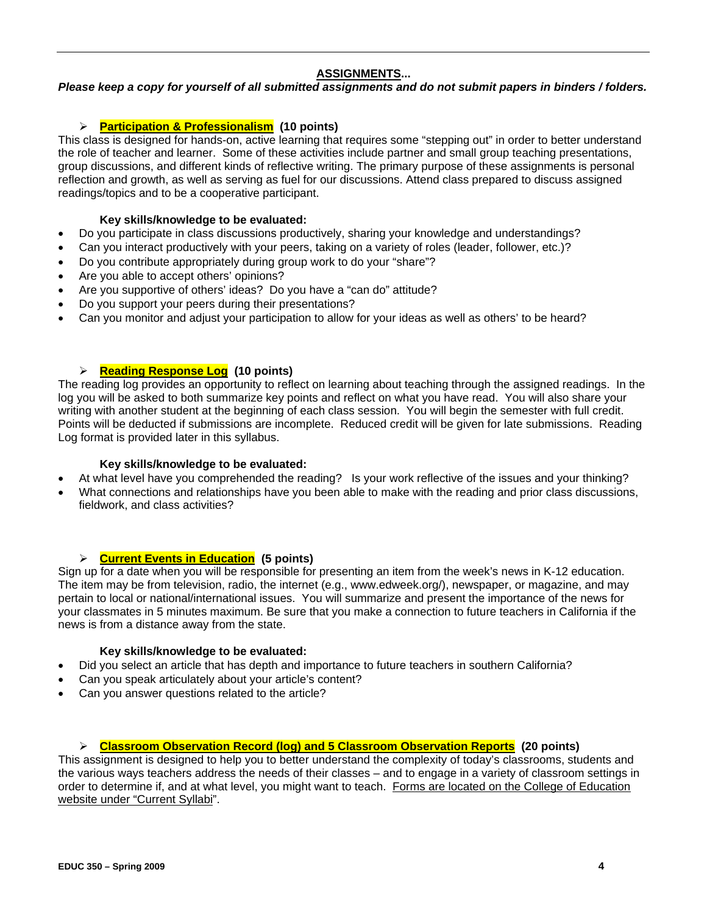# **ASSIGNMENTS...**

## *Please keep a copy for yourself of all submitted assignments and do not submit papers in binders / folders.*

# ¾ **Participation & Professionalism (10 points)**

This class is designed for hands-on, active learning that requires some "stepping out" in order to better understand the role of teacher and learner. Some of these activities include partner and small group teaching presentations, group discussions, and different kinds of reflective writing. The primary purpose of these assignments is personal reflection and growth, as well as serving as fuel for our discussions. Attend class prepared to discuss assigned readings/topics and to be a cooperative participant.

## **Key skills/knowledge to be evaluated:**

- Do you participate in class discussions productively, sharing your knowledge and understandings?
- Can you interact productively with your peers, taking on a variety of roles (leader, follower, etc.)?
- Do you contribute appropriately during group work to do your "share"?
- Are you able to accept others' opinions?
- Are you supportive of others' ideas? Do you have a "can do" attitude?
- Do you support your peers during their presentations?
- Can you monitor and adjust your participation to allow for your ideas as well as others' to be heard?

# ¾ **Reading Response Log (10 points)**

The reading log provides an opportunity to reflect on learning about teaching through the assigned readings. In the log you will be asked to both summarize key points and reflect on what you have read. You will also share your writing with another student at the beginning of each class session. You will begin the semester with full credit. Points will be deducted if submissions are incomplete. Reduced credit will be given for late submissions. Reading Log format is provided later in this syllabus.

## **Key skills/knowledge to be evaluated:**

- At what level have you comprehended the reading? Is your work reflective of the issues and your thinking?
- What connections and relationships have you been able to make with the reading and prior class discussions, fieldwork, and class activities?

## ¾ **Current Events in Education (5 points)**

Sign up for a date when you will be responsible for presenting an item from the week's news in K-12 education. The item may be from television, radio, the internet (e.g., www.edweek.org/), newspaper, or magazine, and may pertain to local or national/international issues. You will summarize and present the importance of the news for your classmates in 5 minutes maximum. Be sure that you make a connection to future teachers in California if the news is from a distance away from the state.

## **Key skills/knowledge to be evaluated:**

- Did you select an article that has depth and importance to future teachers in southern California?
- Can you speak articulately about your article's content?
- Can you answer questions related to the article?

## ¾ **Classroom Observation Record (log) and 5 Classroom Observation Reports (20 points)**

This assignment is designed to help you to better understand the complexity of today's classrooms, students and the various ways teachers address the needs of their classes – and to engage in a variety of classroom settings in order to determine if, and at what level, you might want to teach. Forms are located on the College of Education website under "Current Syllabi".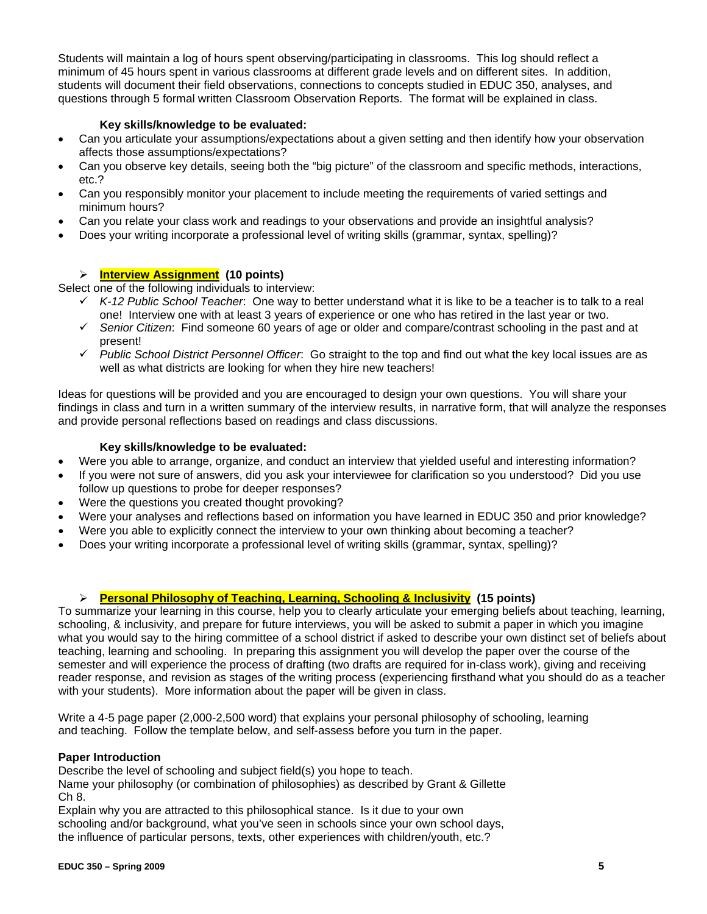Students will maintain a log of hours spent observing/participating in classrooms. This log should reflect a minimum of 45 hours spent in various classrooms at different grade levels and on different sites. In addition, students will document their field observations, connections to concepts studied in EDUC 350, analyses, and questions through 5 formal written Classroom Observation Reports. The format will be explained in class.

# **Key skills/knowledge to be evaluated:**

- Can you articulate your assumptions/expectations about a given setting and then identify how your observation affects those assumptions/expectations?
- Can you observe key details, seeing both the "big picture" of the classroom and specific methods, interactions, etc.?
- Can you responsibly monitor your placement to include meeting the requirements of varied settings and minimum hours?
- Can you relate your class work and readings to your observations and provide an insightful analysis?
- Does your writing incorporate a professional level of writing skills (grammar, syntax, spelling)?

# ¾ **Interview Assignment (10 points)**

Select one of the following individuals to interview:

- 9 *K-12 Public School Teacher*: One way to better understand what it is like to be a teacher is to talk to a real one! Interview one with at least 3 years of experience or one who has retired in the last year or two.
- 9 *Senior Citizen*: Find someone 60 years of age or older and compare/contrast schooling in the past and at present!
- 9 *Public School District Personnel Officer*: Go straight to the top and find out what the key local issues are as well as what districts are looking for when they hire new teachers!

Ideas for questions will be provided and you are encouraged to design your own questions. You will share your findings in class and turn in a written summary of the interview results, in narrative form, that will analyze the responses and provide personal reflections based on readings and class discussions.

# **Key skills/knowledge to be evaluated:**

- Were you able to arrange, organize, and conduct an interview that yielded useful and interesting information?
- If you were not sure of answers, did you ask your interviewee for clarification so you understood? Did you use follow up questions to probe for deeper responses?
- Were the questions you created thought provoking?
- Were your analyses and reflections based on information you have learned in EDUC 350 and prior knowledge?
- Were you able to explicitly connect the interview to your own thinking about becoming a teacher?
- Does your writing incorporate a professional level of writing skills (grammar, syntax, spelling)?

# ¾ **Personal Philosophy of Teaching, Learning, Schooling & Inclusivity (15 points)**

To summarize your learning in this course, help you to clearly articulate your emerging beliefs about teaching, learning, schooling, & inclusivity, and prepare for future interviews, you will be asked to submit a paper in which you imagine what you would say to the hiring committee of a school district if asked to describe your own distinct set of beliefs about teaching, learning and schooling. In preparing this assignment you will develop the paper over the course of the semester and will experience the process of drafting (two drafts are required for in-class work), giving and receiving reader response, and revision as stages of the writing process (experiencing firsthand what you should do as a teacher with your students). More information about the paper will be given in class.

Write a 4-5 page paper (2,000-2,500 word) that explains your personal philosophy of schooling, learning and teaching. Follow the template below, and self-assess before you turn in the paper.

# **Paper Introduction**

Describe the level of schooling and subject field(s) you hope to teach.

Name your philosophy (or combination of philosophies) as described by Grant & Gillette Ch 8.

Explain why you are attracted to this philosophical stance. Is it due to your own schooling and/or background, what you've seen in schools since your own school days, the influence of particular persons, texts, other experiences with children/youth, etc.?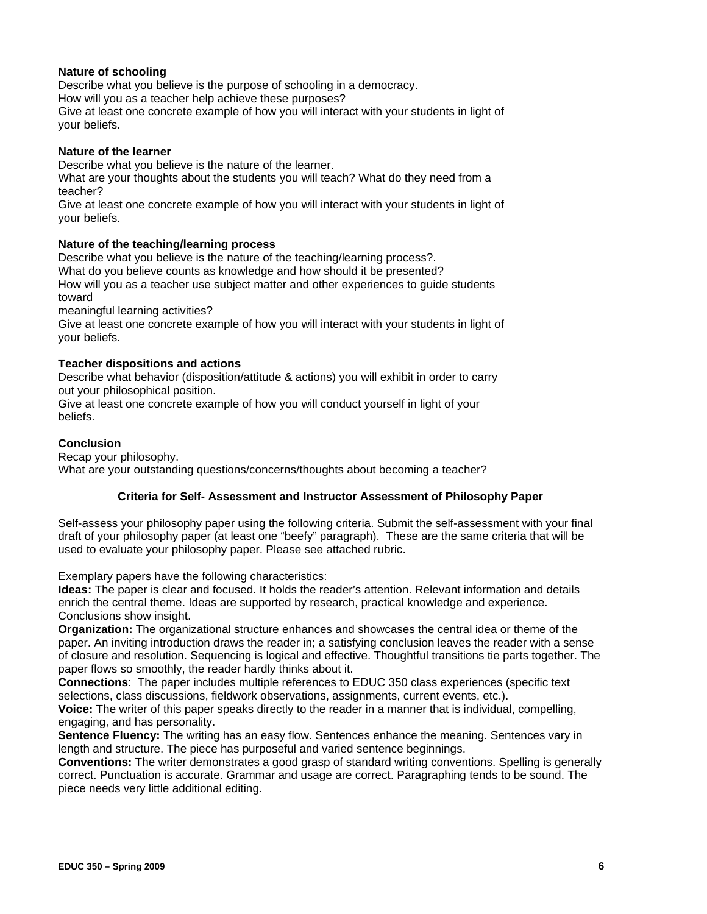## **Nature of schooling**

Describe what you believe is the purpose of schooling in a democracy.

How will you as a teacher help achieve these purposes?

Give at least one concrete example of how you will interact with your students in light of your beliefs.

## **Nature of the learner**

Describe what you believe is the nature of the learner.

What are your thoughts about the students you will teach? What do they need from a teacher?

Give at least one concrete example of how you will interact with your students in light of your beliefs.

## **Nature of the teaching/learning process**

Describe what you believe is the nature of the teaching/learning process?.

What do you believe counts as knowledge and how should it be presented?

How will you as a teacher use subject matter and other experiences to guide students toward

meaningful learning activities?

Give at least one concrete example of how you will interact with your students in light of your beliefs.

## **Teacher dispositions and actions**

Describe what behavior (disposition/attitude & actions) you will exhibit in order to carry out your philosophical position.

Give at least one concrete example of how you will conduct yourself in light of your beliefs.

## **Conclusion**

Recap your philosophy. What are your outstanding questions/concerns/thoughts about becoming a teacher?

## **Criteria for Self- Assessment and Instructor Assessment of Philosophy Paper**

Self-assess your philosophy paper using the following criteria. Submit the self-assessment with your final draft of your philosophy paper (at least one "beefy" paragraph). These are the same criteria that will be used to evaluate your philosophy paper. Please see attached rubric.

Exemplary papers have the following characteristics:

 Conclusions show insight. **Ideas:** The paper is clear and focused. It holds the reader's attention. Relevant information and details enrich the central theme. Ideas are supported by research, practical knowledge and experience.

**Organization:** The organizational structure enhances and showcases the central idea or theme of the paper. An inviting introduction draws the reader in; a satisfying conclusion leaves the reader with a sense of closure and resolution. Sequencing is logical and effective. Thoughtful transitions tie parts together. The paper flows so smoothly, the reader hardly thinks about it.

**Connections**: The paper includes multiple references to EDUC 350 class experiences (specific text selections, class discussions, fieldwork observations, assignments, current events, etc.).

**Voice:** The writer of this paper speaks directly to the reader in a manner that is individual, compelling, engaging, and has personality.

**Sentence Fluency:** The writing has an easy flow. Sentences enhance the meaning. Sentences vary in length and structure. The piece has purposeful and varied sentence beginnings.

 piece needs very little additional editing. **Conventions:** The writer demonstrates a good grasp of standard writing conventions. Spelling is generally correct. Punctuation is accurate. Grammar and usage are correct. Paragraphing tends to be sound. The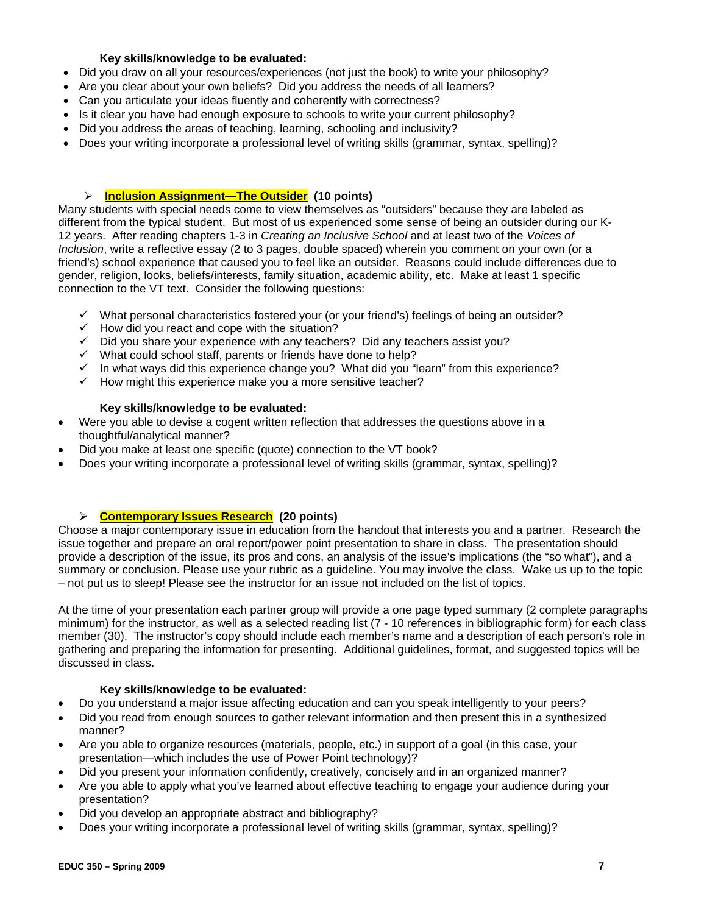## **Key skills/knowledge to be evaluated:**

- Did you draw on all your resources/experiences (not just the book) to write your philosophy?
- Are you clear about your own beliefs? Did you address the needs of all learners?
- Can you articulate your ideas fluently and coherently with correctness?
- Is it clear you have had enough exposure to schools to write your current philosophy?
- Did you address the areas of teaching, learning, schooling and inclusivity?
- Does your writing incorporate a professional level of writing skills (grammar, syntax, spelling)?

## ¾ **Inclusion Assignment—The Outsider (10 points)**

 connection to the VT text. Consider the following questions: Many students with special needs come to view themselves as "outsiders" because they are labeled as different from the typical student. But most of us experienced some sense of being an outsider during our K-12 years. After reading chapters 1-3 in *Creating an Inclusive School* and at least two of the *Voices of Inclusion*, write a reflective essay (2 to 3 pages, double spaced) wherein you comment on your own (or a friend's) school experience that caused you to feel like an outsider. Reasons could include differences due to gender, religion, looks, beliefs/interests, family situation, academic ability, etc. Make at least 1 specific

- $\checkmark$  What personal characteristics fostered your (or your friend's) feelings of being an outsider?
- $\checkmark$  How did you react and cope with the situation?
- $\checkmark$  Did you share your experience with any teachers? Did any teachers assist you?
- $\checkmark$  What could school staff, parents or friends have done to help?
- $\checkmark$  In what ways did this experience change you? What did you "learn" from this experience?
- $\checkmark$  How might this experience make you a more sensitive teacher?

## **Key skills/knowledge to be evaluated:**

- Were you able to devise a cogent written reflection that addresses the questions above in a thoughtful/analytical manner?
- Did you make at least one specific (quote) connection to the VT book?
- Does your writing incorporate a professional level of writing skills (grammar, syntax, spelling)?

# ¾ **Contemporary Issues Research (20 points)**

Choose a major contemporary issue in education from the handout that interests you and a partner. Research the issue together and prepare an oral report/power point presentation to share in class. The presentation should provide a description of the issue, its pros and cons, an analysis of the issue's implications (the "so what"), and a summary or conclusion. Please use your rubric as a guideline. You may involve the class. Wake us up to the topic – not put us to sleep! Please see the instructor for an issue not included on the list of topics.

At the time of your presentation each partner group will provide a one page typed summary (2 complete paragraphs minimum) for the instructor, as well as a selected reading list (7 - 10 references in bibliographic form) for each class member (30). The instructor's copy should include each member's name and a description of each person's role in gathering and preparing the information for presenting. Additional guidelines, format, and suggested topics will be discussed in class.

## **Key skills/knowledge to be evaluated:**

- Do you understand a major issue affecting education and can you speak intelligently to your peers?
- Did you read from enough sources to gather relevant information and then present this in a synthesized manner?
- Are you able to organize resources (materials, people, etc.) in support of a goal (in this case, your presentation—which includes the use of Power Point technology)?
- Did you present your information confidently, creatively, concisely and in an organized manner?
- Are you able to apply what you've learned about effective teaching to engage your audience during your presentation?
- Did you develop an appropriate abstract and bibliography?
- Does your writing incorporate a professional level of writing skills (grammar, syntax, spelling)?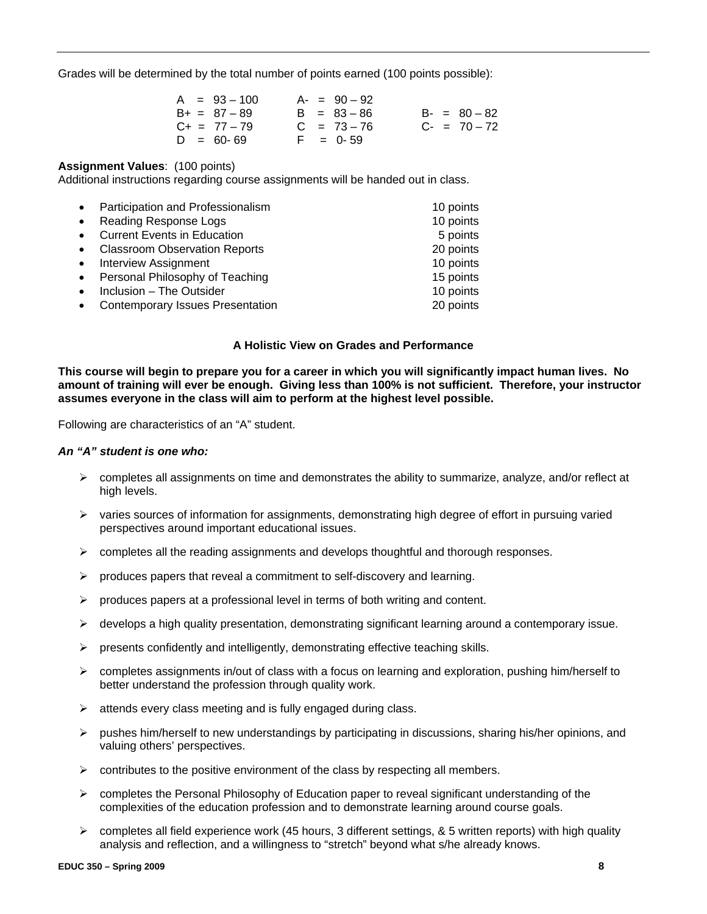Grades will be determined by the total number of points earned (100 points possible):

| $A = 93 - 100$    | $A - = 90 - 92$ |                   |
|-------------------|-----------------|-------------------|
| $B+ = 87 - 89$    | $B = 83 - 86$   | $B - = 80 - 82$   |
| $C_{+} = 77 - 79$ | $C = 73 - 76$   | $C_{-}$ = 70 - 72 |
| $D = 60 - 69$     | $F = 0.59$      |                   |

#### **Assignment Values**: (100 points)

Additional instructions regarding course assignments will be handed out in class.

| $\bullet$ | Participation and Professionalism       | 10 points |
|-----------|-----------------------------------------|-----------|
| $\bullet$ | Reading Response Logs                   | 10 points |
|           | <b>Current Events in Education</b>      | 5 points  |
|           | <b>Classroom Observation Reports</b>    | 20 points |
| $\bullet$ | <b>Interview Assignment</b>             | 10 points |
|           | Personal Philosophy of Teaching         | 15 points |
|           | Inclusion - The Outsider                | 10 points |
|           | <b>Contemporary Issues Presentation</b> | 20 points |

#### **A Holistic View on Grades and Performance**

**This course will begin to prepare you for a career in which you will significantly impact human lives. No amount of training will ever be enough. Giving less than 100% is not sufficient. Therefore, your instructor assumes everyone in the class will aim to perform at the highest level possible.** 

Following are characteristics of an "A" student.

#### *An "A" student is one who:*

- ¾ completes all assignments on time and demonstrates the ability to summarize, analyze, and/or reflect at high levels.
- $\triangleright$  varies sources of information for assignments, demonstrating high degree of effort in pursuing varied perspectives around important educational issues.
- $\triangleright$  completes all the reading assignments and develops thoughtful and thorough responses.
- $\triangleright$  produces papers that reveal a commitment to self-discovery and learning.
- $\triangleright$  produces papers at a professional level in terms of both writing and content.
- $\triangleright$  develops a high quality presentation, demonstrating significant learning around a contemporary issue.
- $\triangleright$  presents confidently and intelligently, demonstrating effective teaching skills.
- $\triangleright$  completes assignments in/out of class with a focus on learning and exploration, pushing him/herself to better understand the profession through quality work.
- $\triangleright$  attends every class meeting and is fully engaged during class.
- $\triangleright$  pushes him/herself to new understandings by participating in discussions, sharing his/her opinions, and valuing others' perspectives.
- $\triangleright$  contributes to the positive environment of the class by respecting all members.
- complexities of the education profession and to demonstrate learning around course goals. ¾ completes the Personal Philosophy of Education paper to reveal significant understanding of the
- $\triangleright$  completes all field experience work (45 hours, 3 different settings, & 5 written reports) with high quality analysis and reflection, and a willingness to "stretch" beyond what s/he already knows.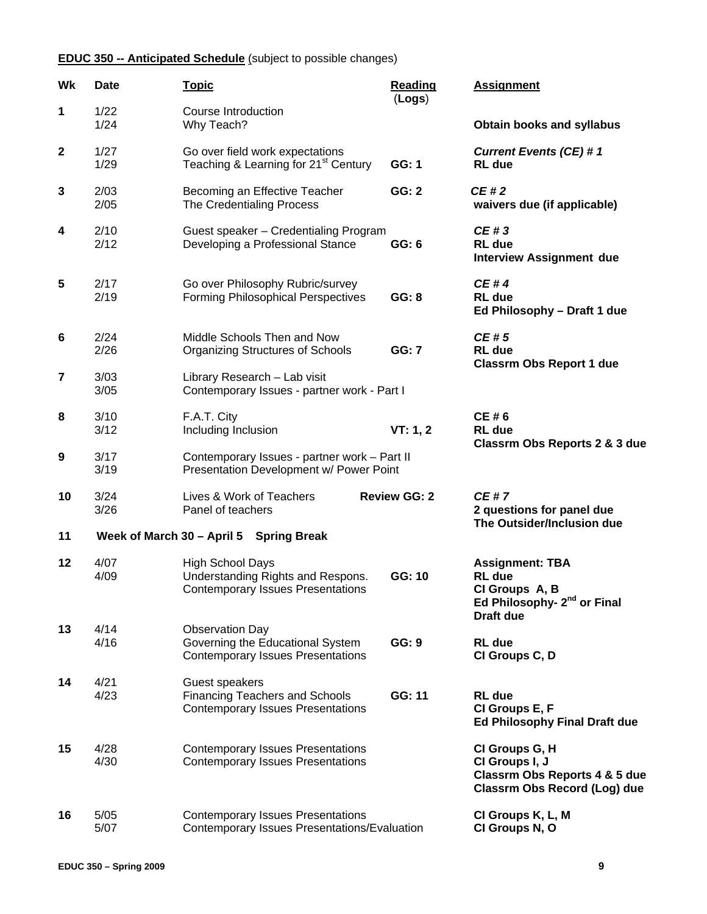# **EDUC 350 -- Anticipated Schedule** (subject to possible changes)

| Wk           | <b>Date</b>  | <u>Topic</u>                                                                                             | <b>Reading</b><br>(Logs) | <b>Assignment</b>                                                                                                        |
|--------------|--------------|----------------------------------------------------------------------------------------------------------|--------------------------|--------------------------------------------------------------------------------------------------------------------------|
| 1            | 1/22<br>1/24 | <b>Course Introduction</b><br>Why Teach?                                                                 |                          | <b>Obtain books and syllabus</b>                                                                                         |
| $\mathbf{2}$ | 1/27<br>1/29 | Go over field work expectations<br>Teaching & Learning for 21 <sup>st</sup> Century                      | GG: 1                    | <b>Current Events (CE) #1</b><br><b>RL</b> due                                                                           |
| 3            | 2/03<br>2/05 | Becoming an Effective Teacher<br>The Credentialing Process                                               | <b>GG: 2</b>             | CE#2<br>waivers due (if applicable)                                                                                      |
| 4            | 2/10<br>2/12 | Guest speaker - Credentialing Program<br>Developing a Professional Stance                                | GG: 6                    | CE#3<br><b>RL</b> due<br><b>Interview Assignment due</b>                                                                 |
| 5            | 2/17<br>2/19 | Go over Philosophy Rubric/survey<br><b>Forming Philosophical Perspectives</b>                            | GG: 8                    | <b>CE#4</b><br><b>RL</b> due<br>Ed Philosophy - Draft 1 due                                                              |
| 6            | 2/24<br>2/26 | Middle Schools Then and Now<br><b>Organizing Structures of Schools</b>                                   | <b>GG: 7</b>             | CE#5<br><b>RL</b> due<br><b>Classrm Obs Report 1 due</b>                                                                 |
| 7            | 3/03<br>3/05 | Library Research - Lab visit<br>Contemporary Issues - partner work - Part I                              |                          |                                                                                                                          |
| 8            | 3/10<br>3/12 | F.A.T. City<br>Including Inclusion                                                                       | VT: 1, 2                 | CE#6<br><b>RL</b> due<br>Classrm Obs Reports 2 & 3 due                                                                   |
| 9            | 3/17<br>3/19 | Contemporary Issues - partner work - Part II<br>Presentation Development w/ Power Point                  |                          |                                                                                                                          |
| 10           | 3/24<br>3/26 | Lives & Work of Teachers<br>Panel of teachers                                                            | <b>Review GG: 2</b>      | <b>CE#7</b><br>2 questions for panel due<br>The Outsider/Inclusion due                                                   |
| 11           |              | Week of March 30 - April 5 Spring Break                                                                  |                          |                                                                                                                          |
| 12           | 4/07<br>4/09 | <b>High School Days</b><br>Understanding Rights and Respons.<br><b>Contemporary Issues Presentations</b> | GG: 10                   | <b>Assignment: TBA</b><br><b>RL</b> due<br>CI Groups A, B<br>Ed Philosophy- 2 <sup>nd</sup> or Final<br><b>Draft due</b> |
| 13           | 4/14<br>4/16 | <b>Observation Day</b><br>Governing the Educational System<br><b>Contemporary Issues Presentations</b>   | GG: 9                    | <b>RL</b> due<br>CI Groups C, D                                                                                          |
| 14           | 4/21<br>4/23 | Guest speakers<br><b>Financing Teachers and Schools</b><br><b>Contemporary Issues Presentations</b>      | GG: 11                   | <b>RL</b> due<br>CI Groups E, F<br><b>Ed Philosophy Final Draft due</b>                                                  |
| 15           | 4/28<br>4/30 | <b>Contemporary Issues Presentations</b><br><b>Contemporary Issues Presentations</b>                     |                          | CI Groups G, H<br>CI Groups I, J<br>Classrm Obs Reports 4 & 5 due<br>Classrm Obs Record (Log) due                        |
| 16           | 5/05<br>5/07 | <b>Contemporary Issues Presentations</b><br>Contemporary Issues Presentations/Evaluation                 |                          | CI Groups K, L, M<br>CI Groups N, O                                                                                      |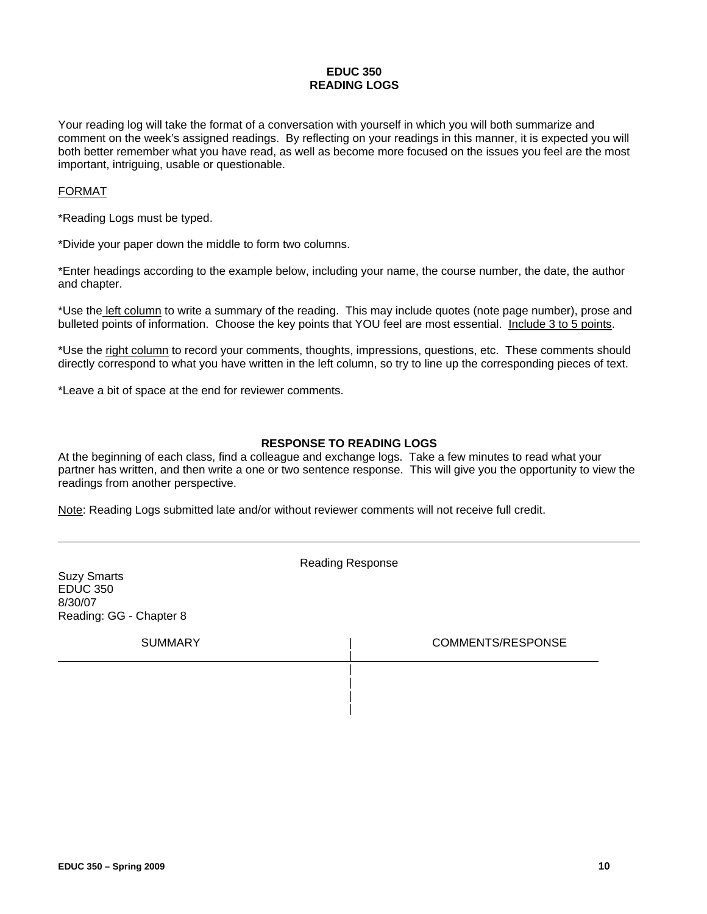## **EDUC 350 READING LOGS**

Your reading log will take the format of a conversation with yourself in which you will both summarize and comment on the week's assigned readings. By reflecting on your readings in this manner, it is expected you will both better remember what you have read, as well as become more focused on the issues you feel are the most important, intriguing, usable or questionable.

#### FORMAT

\*Reading Logs must be typed.

\*Divide your paper down the middle to form two columns.

\*Enter headings according to the example below, including your name, the course number, the date, the author and chapter.

\*Use the left column to write a summary of the reading. This may include quotes (note page number), prose and bulleted points of information. Choose the key points that YOU feel are most essential. Include 3 to 5 points.

\*Use the right column to record your comments, thoughts, impressions, questions, etc. These comments should directly correspond to what you have written in the left column, so try to line up the corresponding pieces of text.

\*Leave a bit of space at the end for reviewer comments.

## **RESPONSE TO READING LOGS**

At the beginning of each class, find a colleague and exchange logs. Take a few minutes to read what your partner has written, and then write a one or two sentence response. This will give you the opportunity to view the readings from another perspective.

Note: Reading Logs submitted late and/or without reviewer comments will not receive full credit.

| <b>Suzy Smarts</b><br><b>EDUC 350</b><br>8/30/07<br>Reading: GG - Chapter 8 | <b>Reading Response</b> |
|-----------------------------------------------------------------------------|-------------------------|
| <b>SUMMARY</b>                                                              | COMMENTS/RESPONSE       |
|                                                                             |                         |